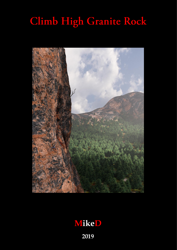# $Climb$  High Granite Rock



# **MikeD**

Page 1 **2019**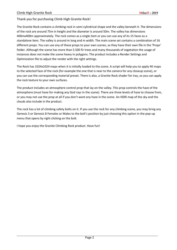#### Thank you for purchasing Climb High Granite Rock!

The Granite Rock contains a climbing rock in semi cylindrical shape and the valley beneath it. The dimensions of the rock are around 75m in height and the diameter is around 50m. The valley has dimensions 400mx400m approximately. The rock comes as a single item or you can use any of its 15 faces as a standalone item. The valley is around m long and m width. The main scene set contains a combination of 16 different props. You can use any of these props to your own scenes, as they have their own file in the 'Props' folder. Although the scene has more than 5.500 fir trees and many thousands of vegetation the usage of instances does not make the scene heavy in polygons. The product includes a Render Settings and Optimization file to adjust the render with the right settings.

The Rock has 1024x1024 maps when it is initially loaded to the scene. A script will help you to apply 4K maps to the selected face of the rock (for example the one that is near to the camera for any closeup scene), or you can use the corresponding material preset. There is also, a Granite Rock shader for Iray, so you can apply the rock texture to your own surfaces.

The product includes an atmosphere control prop that lay on the valley. This prop controls the haze of the atmosphere (must have for making any God rays in the scene). There are three levels of haze to choose from, or you may not use the prop at all if you don't want any haze in the scene. An HDRi map of the sky and the clouds also include in the product.

The rock has a lot of climbing safety bolts on it. If you use the rock for any climbing scene, you may bring any Genesis 3 or Genesis 8 Females or Males to the bolt's position by just choosing this option in the pop-up menu that opens by right clicking on the bolt.

I hope you enjoy the Granite Climbing Rock product. Have fun!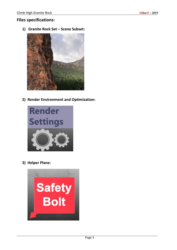#### **Files specifications:**

**1) Granite Rock Set – Scene Subset:**



**2) Render Environment and Optimization:**



**3) Helper Plane:**

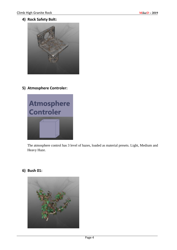#### **4) Rock Safety Bolt:**



**5) Atmosphere Controler:**



The atmosphere control has 3 level of hazes, loaded as material presets. Light, Medium and Heavy Haze.

**6) Bush 01:**

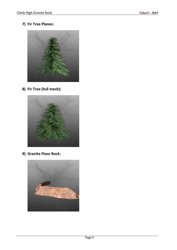**7) Fir Tree Planes:**



**8) Fir Tree (full mesh):**



**9) Granite Floor Rock:**

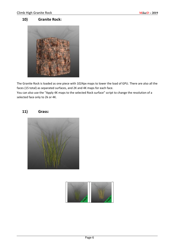#### **10) Granite Rock:**



The Granite Rock is loaded as one piece with 1024px maps to lower the load of GPU. There are also all the faces (15 total) as separated surfaces, and 2K and 4K maps for each face.

You can also use the "Apply 4K maps to the selected Rock surface" script to change the resolution of a selected face only to 2k or 4K.

#### **11) Grass:**



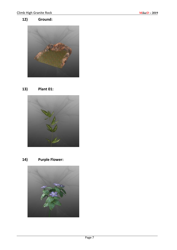# **12) Ground:**



**13) Plant 01:**



**14) Purple Flower:**

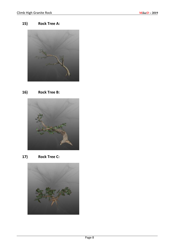# **15) Rock Tree A:**



## **16) Rock Tree B:**



**17) Rock Tree C:**

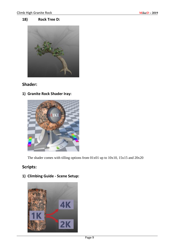#### **18) Rock Tree D:**



# **Shader:**

**1) Granite Rock Shader Iray:**



The shader comes with tilling options from 01x01 up to 10x10, 15x15 and 20x20

# **Scripts:**

**1) Climbing Guide - Scene Setup:**

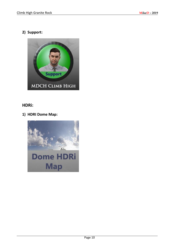## **2) Support:**



### **HDRi:**

**1) HDRI Dome Map:**

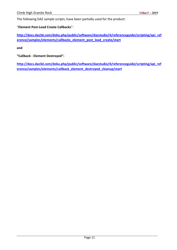The following DAZ sample scripts, have been partially used for the product:

"**Element Post-Load Create Callbacks**":

**[http://docs.daz3d.com/doku.php/public/software/dazstudio/4/referenceguide/scripting/api\\_ref](http://docs.daz3d.com/doku.php/public/software/dazstudio/4/referenceguide/scripting/api_reference/samples/elements/callbacks_element_post_load_create/start) [erence/samples/elements/callbacks\\_element\\_post\\_load\\_create/start](http://docs.daz3d.com/doku.php/public/software/dazstudio/4/referenceguide/scripting/api_reference/samples/elements/callbacks_element_post_load_create/start)**

**and** 

**"Callback - Element Destroyed":**

**[http://docs.daz3d.com/doku.php/public/software/dazstudio/4/referenceguide/scripting/api\\_ref](http://docs.daz3d.com/doku.php/public/software/dazstudio/4/referenceguide/scripting/api_reference/samples/elements/callback_element_destroyed_cleanup/start) [erence/samples/elements/callback\\_element\\_destroyed\\_cleanup/start](http://docs.daz3d.com/doku.php/public/software/dazstudio/4/referenceguide/scripting/api_reference/samples/elements/callback_element_destroyed_cleanup/start)**